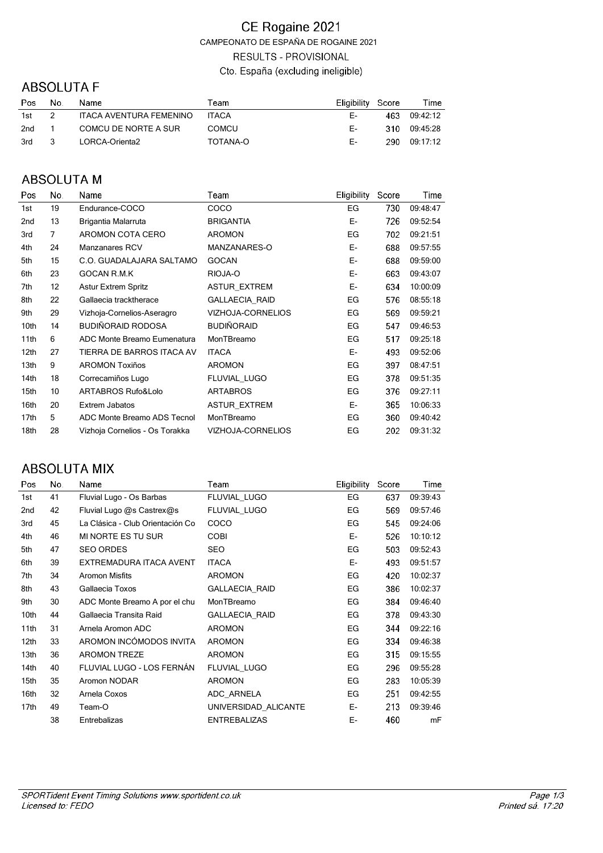### CE Rogaine 2021 CAMPEONATO DE ESPAÑA DE ROGAINE 2021 **RESULTS - PROVISIONAL** Cto. España (excluding ineligible)

## **ABSOLUTA F**

| Pos        | No.            | Name                    | Team         | Eligibility Score |      | Time         |
|------------|----------------|-------------------------|--------------|-------------------|------|--------------|
| 1st        | $\overline{2}$ | ITACA AVENTURA FEMENINO | <b>ITACA</b> | F- 1              | 463. | 09:42:12     |
| $2nd \t 1$ |                | COMCU DE NORTE A SUR    | <b>COMCU</b> | E-L               |      | 310 09:45:28 |
| 3rd        | $\mathbf{R}$   | LORCA-Orienta2          | TOTANA-O     | F- 1              |      | 290 09:17:12 |

# **ABSOLUTA M**

| Pos              | No.            | Name                           | Team                  | <b>Eligibility</b> | Score | Time     |
|------------------|----------------|--------------------------------|-----------------------|--------------------|-------|----------|
| 1st              | 19             | Endurance-COCO                 | COCO                  | EG                 | 730   | 09:48:47 |
| 2nd              | 13             | Brigantia Malarruta            | <b>BRIGANTIA</b>      | E-                 | 726   | 09:52:54 |
| 3rd              | $\overline{7}$ | AROMON COTA CERO               | <b>AROMON</b>         | EG                 | 702   | 09:21:51 |
| 4th              | 24             | Manzanares RCV                 | MANZANARES-O          | E-                 | 688   | 09:57:55 |
| 5th              | 15             | C.O. GUADALAJARA SALTAMO       | <b>GOCAN</b>          | E-                 | 688   | 09:59:00 |
| 6th              | 23             | <b>GOCAN R.M.K</b>             | RIOJA-O               | E-                 | 663   | 09:43:07 |
| 7th              | 12             | <b>Astur Extrem Spritz</b>     | <b>ASTUR EXTREM</b>   | E-                 | 634   | 10:00:09 |
| 8th              | 22             | Gallaecia tracktherace         | <b>GALLAECIA RAID</b> | EG                 | 576   | 08:55:18 |
| 9th              | 29             | Vizhoja-Cornelios-Aseragro     | VIZHOJA-CORNELIOS     | EG                 | 569   | 09:59:21 |
| 10th             | 14             | <b>BUDIÑORAID RODOSA</b>       | <b>BUDIÑORAID</b>     | EG                 | 547   | 09:46:53 |
| 11th             | 6              | ADC Monte Breamo Eumenatura    | MonTBreamo            | EG                 | 517   | 09:25:18 |
| 12 <sub>th</sub> | 27             | TIERRA DE BARROS ITACA AV      | <b>ITACA</b>          | E-                 | 493   | 09:52:06 |
| 13th             | 9              | <b>AROMON Toxiños</b>          | <b>AROMON</b>         | EG                 | 397   | 08:47:51 |
| 14th             | 18             | Correcamiños Lugo              | FLUVIAL LUGO          | EG                 | 378   | 09:51:35 |
| 15th             | 10             | ARTABROS Rufo&Lolo             | <b>ARTABROS</b>       | EG                 | 376   | 09:27:11 |
| 16th             | 20             | Extrem Jabatos                 | <b>ASTUR EXTREM</b>   | E-                 | 365   | 10:06:33 |
| 17 <sub>th</sub> | 5              | ADC Monte Breamo ADS Tecnol    | MonTBreamo            | EG                 | 360   | 09:40:42 |
| 18th             | 28             | Vizhoja Cornelios - Os Torakka | VIZHOJA-CORNELIOS     | EG                 | 202   | 09:31:32 |
|                  |                |                                |                       |                    |       |          |

### **ABSOLUTA MIX**

| Pos              | No. | Name                             | Team                  | Eligibility | Score | Time     |
|------------------|-----|----------------------------------|-----------------------|-------------|-------|----------|
| 1st              | 41  | Fluvial Lugo - Os Barbas         | FLUVIAL LUGO          | EG          | 637   | 09:39:43 |
| 2 <sub>nd</sub>  | 42  | Fluvial Lugo @s Castrex@s        | FLUVIAL LUGO          | EG          | 569   | 09:57:46 |
| 3rd              | 45  | La Clásica - Club Orientación Co | COCO                  | EG          | 545   | 09:24:06 |
| 4th              | 46  | MI NORTE ES TU SUR               | <b>COBI</b>           | E-          | 526   | 10:10:12 |
| 5th              | 47  | <b>SEO ORDES</b>                 | <b>SEO</b>            | EG          | 503   | 09:52:43 |
| 6th              | 39  | EXTREMADURA ITACA AVENT          | <b>ITACA</b>          | Е-          | 493   | 09:51:57 |
| 7th              | 34  | <b>Aromon Misfits</b>            | <b>AROMON</b>         | EG          | 420   | 10:02:37 |
| 8th              | 43  | Gallaecia Toxos                  | <b>GALLAECIA RAID</b> | EG          | 386   | 10:02:37 |
| 9th              | 30  | ADC Monte Breamo A por el chu    | MonTBreamo            | EG          | 384   | 09:46:40 |
| 10th             | 44  | Gallaecia Transita Raid          | <b>GALLAECIA RAID</b> | EG          | 378   | 09:43:30 |
| 11th             | 31  | Arnela Aromon ADC                | <b>AROMON</b>         | EG          | 344   | 09:22:16 |
| 12 <sub>th</sub> | 33  | AROMON INCÓMODOS INVITA          | <b>AROMON</b>         | EG          | 334   | 09:46:38 |
| 13th             | 36  | <b>AROMON TREZE</b>              | <b>AROMON</b>         | EG          | 315   | 09:15:55 |
| 14th             | 40  | FLUVIAL LUGO - LOS FERNÁN        | <b>FLUVIAL LUGO</b>   | EG          | 296   | 09:55:28 |
| 15th             | 35  | Aromon NODAR                     | <b>AROMON</b>         | EG          | 283   | 10:05:39 |
| 16th             | 32  | Arnela Coxos                     | ADC ARNELA            | EG          | 251   | 09:42:55 |
| 17 <sub>th</sub> | 49  | Team-O                           | UNIVERSIDAD ALICANTE  | E-          | 213   | 09:39:46 |
|                  | 38  | Entrebalizas                     | <b>ENTREBALIZAS</b>   | E-          | 460   | mF       |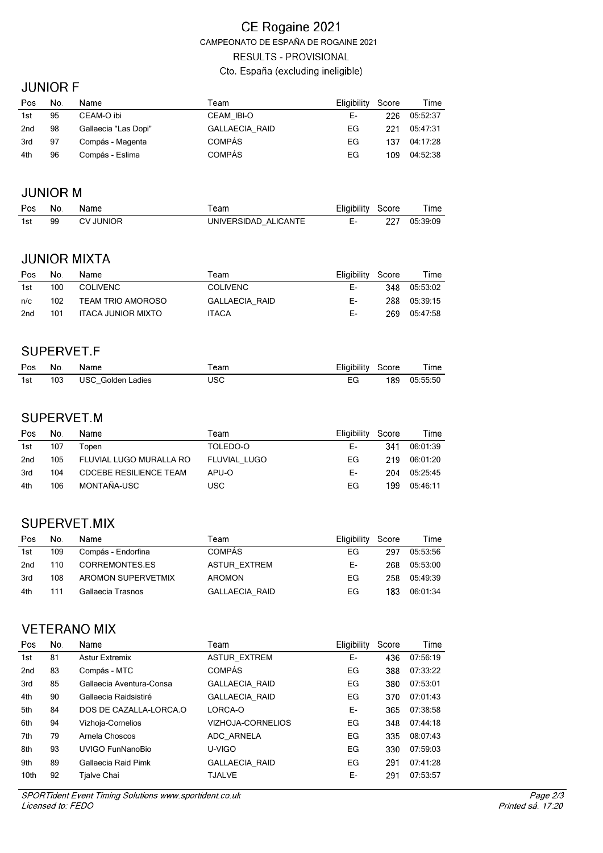### CE Rogaine 2021 CAMPEONATO DE ESPAÑA DE ROGAINE 2021 **RESULTS - PROVISIONAL** Cto. España (excluding ineligible)

#### **JUNIOR F**

| Pos             | No. | Name                 | Team                  | Eligibility Score |     | Time     |
|-----------------|-----|----------------------|-----------------------|-------------------|-----|----------|
| 1st             | 95  | CEAM-O ibi           | <b>CEAM IBI-O</b>     | Е-                | 226 | 05:52:37 |
| 2 <sub>nd</sub> | 98  | Gallaecia "Las Dopi" | <b>GALLAECIA RAID</b> | EG                | 221 | 05:47:31 |
| 3rd             | 97  | Compás - Magenta     | <b>COMPÁS</b>         | EG                | 137 | 04:17:28 |
| 4th             | 96  | Compás - Eslima      | <b>COMPÁS</b>         | EG                | 109 | 04:52:38 |

#### **JUNIOR M**

| Pos No. |    | Name      | ™eam                 | Eligibility Score | Time         |
|---------|----|-----------|----------------------|-------------------|--------------|
| 1st     | 99 | CV JUNIOR | UNIVERSIDAD ALICANTE |                   | 227 05:39:09 |

# **JUNIOR MIXTA**

| Pos | No. | Name               | Team                  | Eligibility Score | Time         |
|-----|-----|--------------------|-----------------------|-------------------|--------------|
| 1st | 100 | COLIVENC           | <b>COLIVENC</b>       | F-                | 348 05:53:02 |
| n/c | 102 | TEAM TRIO AMOROSO  | <b>GALLAECIA RAID</b> | F-                | 288 05:39:15 |
| 2nd | 101 | ITACA JUNIOR MIXTO | <b>ITACA</b>          | F-                | 269 05:47:58 |

#### SUPERVET.F

| Pos No. | Name                  | ™eam | Eligibility Score | Time         |
|---------|-----------------------|------|-------------------|--------------|
| 1st     | 103 USC Golden Ladies | USC  | EG                | 189 05:55:50 |

# SUPERVET.M

| Pos             | No. | Name                          | Team         | Eligibility | Score | Time         |
|-----------------|-----|-------------------------------|--------------|-------------|-------|--------------|
| 1st             | 107 | ⊺open                         | TOLEDO-O     | F-          | 341   | 06:01:39     |
| 2 <sub>nd</sub> | 105 | FLUVIAL LUGO MURALLA RO       | FLUVIAL LUGO | FG.         |       | 219 06:01:20 |
| 3rd             | 104 | <b>CDCEBE RESILIENCE TEAM</b> | APU-O        | Е-          | 204   | 05:25:45     |
| 4th             | 106 | MONTAÑA-USC                   | USC          | FG          | 199   | 05:46:11     |

# SUPERVET.MIX

| Pos | No. | Name               | Team                  | Eligibility Score |     | Time     |
|-----|-----|--------------------|-----------------------|-------------------|-----|----------|
| 1st | 109 | Compás - Endorfina | <b>COMPÁS</b>         | EG.               | 297 | 05:53:56 |
| 2nd | 110 | CORREMONTES.ES     | ASTUR EXTREM          | F-                | 268 | 05:53:00 |
| 3rd | 108 | AROMON SUPERVETMIX | <b>AROMON</b>         | FG                | 258 | 05:49:39 |
| 4th | 111 | Gallaecia Trasnos  | <b>GALLAECIA RAID</b> | EG                | 183 | 06:01:34 |

# **VETERANO MIX**

| Pos             | No. | Name                     | Team                     | <b>Eligibility</b> | Score | Time     |
|-----------------|-----|--------------------------|--------------------------|--------------------|-------|----------|
| 1st             | 81  | <b>Astur Extremix</b>    | <b>ASTUR EXTREM</b>      | Е-                 | 436   | 07:56:19 |
| 2 <sub>nd</sub> | 83  | Compás - MTC             | <b>COMPÁS</b>            | EG                 | 388   | 07:33:22 |
| 3rd             | 85  | Gallaecia Aventura-Consa | <b>GALLAECIA RAID</b>    | EG                 | 380   | 07:53:01 |
| 4th             | 90  | Gallaecia Raidsistiré    | <b>GALLAECIA RAID</b>    | EG                 | 370   | 07:01:43 |
| 5th             | 84  | DOS DE CAZALLA-LORCA.O   | LORCA-O                  | E-                 | 365   | 07:38:58 |
| 6th             | 94  | Vizhoja-Cornelios        | <b>VIZHOJA-CORNELIOS</b> | EG                 | 348   | 07:44:18 |
| 7th             | 79  | Arnela Choscos           | ADC ARNELA               | EG                 | 335   | 08:07:43 |
| 8th             | 93  | <b>UVIGO FunNanoBio</b>  | U-VIGO                   | EG                 | 330   | 07:59:03 |
| 9th             | 89  | Gallaecia Raid Pimk      | <b>GALLAECIA RAID</b>    | EG                 | 291   | 07:41:28 |
| 10th            | 92  | Tjalve Chai              | <b>TJALVE</b>            | Е-                 | 291   | 07:53:57 |
|                 |     |                          |                          |                    |       |          |

SPORTident Event Timing Solutions www.sportident.co.uk Licensed to: FEDO